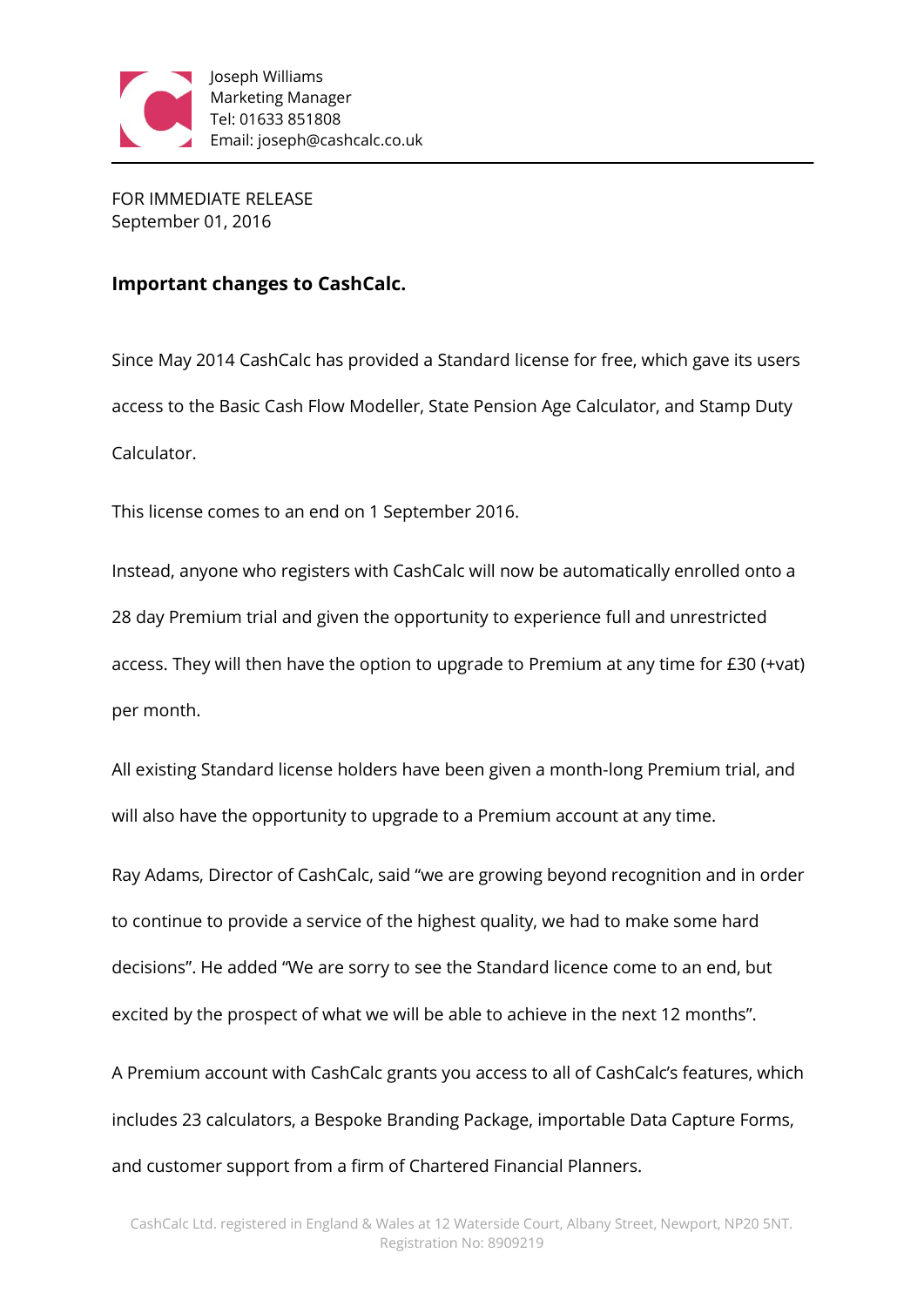

FOR IMMEDIATE RELEASE September 01, 2016

## **Important changes to CashCalc.**

Since May 2014 CashCalc has provided a Standard license for free, which gave its users access to the Basic Cash Flow Modeller, State Pension Age Calculator, and Stamp Duty Calculator.

This license comes to an end on 1 September 2016.

Instead, anyone who registers with CashCalc will now be automatically enrolled onto a 28 day Premium trial and given the opportunity to experience full and unrestricted access. They will then have the option to upgrade to Premium at any time for £30 (+vat) per month.

All existing Standard license holders have been given a month-long Premium trial, and will also have the opportunity to upgrade to a Premium account at any time.

Ray Adams, Director of CashCalc, said "we are growing beyond recognition and in order to continue to provide a service of the highest quality, we had to make some hard decisions". He added "We are sorry to see the Standard licence come to an end, but excited by the prospect of what we will be able to achieve in the next 12 months".

A Premium account with CashCalc grants you access to all of CashCalc's features, which includes 23 calculators, a Bespoke Branding Package, importable Data Capture Forms, and customer support from a firm of Chartered Financial Planners.